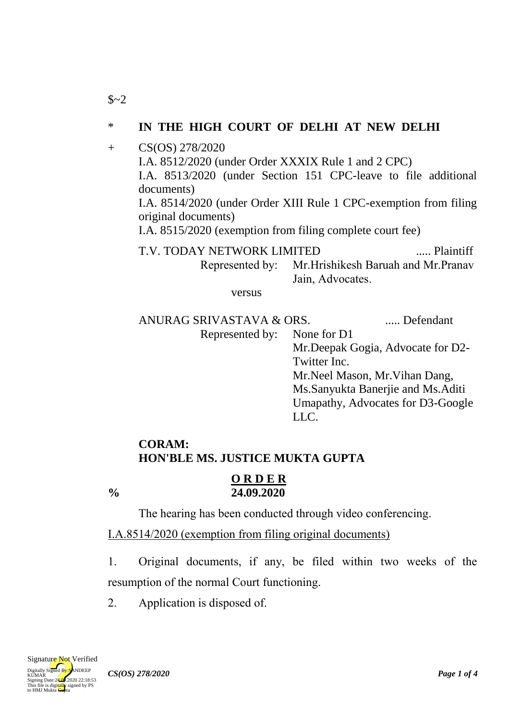## \* **IN THE HIGH COURT OF DELHI AT NEW DELHI**

+ CS(OS) 278/2020 I.A. 8512/2020 (under Order XXXIX Rule 1 and 2 CPC) I.A. 8513/2020 (under Section 151 CPC-leave to file additional documents) I.A. 8514/2020 (under Order XIII Rule 1 CPC-exemption from filing original documents) I.A. 8515/2020 (exemption from filing complete court fee) T.V. TODAY NETWORK LIMITED ..... Plaintiff

Represented by: Mr.Hrishikesh Baruah and Mr.Pranav Jain, Advocates.

versus

ANURAG SRIVASTAVA & ORS. ..... Defendant Represented by: None for D1

Mr.Deepak Gogia, Advocate for D2- Twitter Inc. Mr.Neel Mason, Mr.Vihan Dang, Ms.Sanyukta Banerjie and Ms.Aditi Umapathy, Advocates for D3-Google LLC.

# **CORAM: HON'BLE MS. JUSTICE MUKTA GUPTA**

**O R D E R**

**% 24.09.2020**

 $$~2$$ 

The hearing has been conducted through video conferencing.

I.A.8514/2020 (exemption from filing original documents)

1. Original documents, if any, be filed within two weeks of the resumption of the normal Court functioning.

2. Application is disposed of.

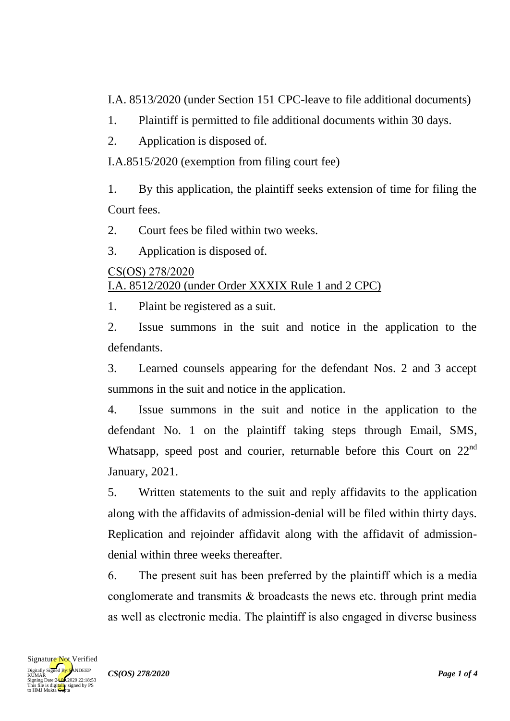I.A. 8513/2020 (under Section 151 CPC-leave to file additional documents)

- 1. Plaintiff is permitted to file additional documents within 30 days.
- 2. Application is disposed of.

# I.A.8515/2020 (exemption from filing court fee)

1. By this application, the plaintiff seeks extension of time for filing the Court fees.

2. Court fees be filed within two weeks.

3. Application is disposed of.

#### CS(OS) 278/2020 I.A. 8512/2020 (under Order XXXIX Rule 1 and 2 CPC)

1. Plaint be registered as a suit.

2. Issue summons in the suit and notice in the application to the defendants.

3. Learned counsels appearing for the defendant Nos. 2 and 3 accept summons in the suit and notice in the application.

4. Issue summons in the suit and notice in the application to the defendant No. 1 on the plaintiff taking steps through Email, SMS, Whatsapp, speed post and courier, returnable before this Court on 22<sup>nd</sup> January, 2021.

5. Written statements to the suit and reply affidavits to the application along with the affidavits of admission-denial will be filed within thirty days. Replication and rejoinder affidavit along with the affidavit of admissiondenial within three weeks thereafter.

6. The present suit has been preferred by the plaintiff which is a media conglomerate and transmits & broadcasts the news etc. through print media as well as electronic media. The plaintiff is also engaged in diverse business

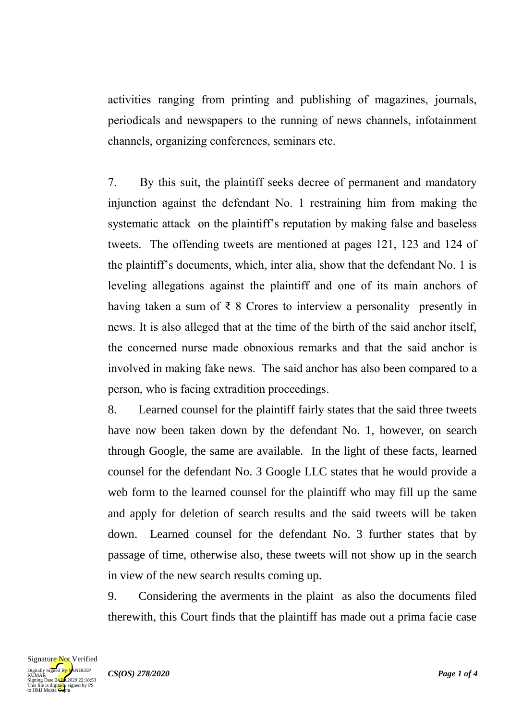activities ranging from printing and publishing of magazines, journals, periodicals and newspapers to the running of news channels, infotainment channels, organizing conferences, seminars etc.

7. By this suit, the plaintiff seeks decree of permanent and mandatory injunction against the defendant No. 1 restraining him from making the systematic attack on the plaintiff's reputation by making false and baseless tweets. The offending tweets are mentioned at pages 121, 123 and 124 of the plaintiff's documents, which, inter alia, show that the defendant No. 1 is leveling allegations against the plaintiff and one of its main anchors of having taken a sum of  $\bar{\tau}$  8 Crores to interview a personality presently in news. It is also alleged that at the time of the birth of the said anchor itself, the concerned nurse made obnoxious remarks and that the said anchor is involved in making fake news. The said anchor has also been compared to a person, who is facing extradition proceedings.

8. Learned counsel for the plaintiff fairly states that the said three tweets have now been taken down by the defendant No. 1, however, on search through Google, the same are available. In the light of these facts, learned counsel for the defendant No. 3 Google LLC states that he would provide a web form to the learned counsel for the plaintiff who may fill up the same and apply for deletion of search results and the said tweets will be taken down. Learned counsel for the defendant No. 3 further states that by passage of time, otherwise also, these tweets will not show up in the search in view of the new search results coming up.

9. Considering the averments in the plaint as also the documents filed therewith, this Court finds that the plaintiff has made out a prima facie case